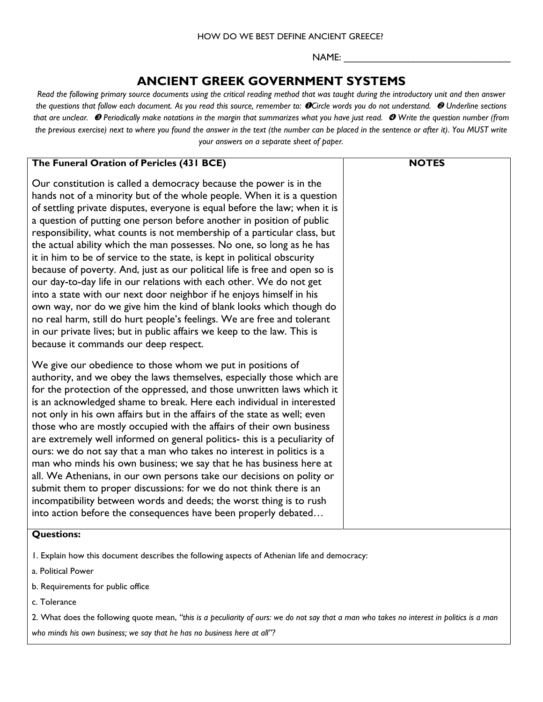### HOW DO WE BEST DEFINE ANCIENT GREECE?

NAME: \_\_\_\_\_\_\_\_\_\_\_\_\_\_\_\_\_\_\_\_\_\_\_\_\_\_\_\_\_\_\_

## **ANCIENT GREEK GOVERNMENT SYSTEMS**

*Read the following primary source documents using the critical reading method that was taught during the introductory unit and then answer the questions that follow each document. As you read this source, remember to: Circle words you do not understand. Underline sections that are unclear. Periodically make notations in the margin that summarizes what you have just read. Write the question number (from the previous exercise) next to where you found the answer in the text (the number can be placed in the sentence or after it). You MUST write your answers on a separate sheet of paper.* 

| The Funeral Oration of Pericles (431 BCE)                                                                                                                                                                                                                                                                                                                                                                                                                                                                                                                                                                                                                                                                                                                                                                                                                                                                                                                                                                                              | <b>NOTES</b> |
|----------------------------------------------------------------------------------------------------------------------------------------------------------------------------------------------------------------------------------------------------------------------------------------------------------------------------------------------------------------------------------------------------------------------------------------------------------------------------------------------------------------------------------------------------------------------------------------------------------------------------------------------------------------------------------------------------------------------------------------------------------------------------------------------------------------------------------------------------------------------------------------------------------------------------------------------------------------------------------------------------------------------------------------|--------------|
| Our constitution is called a democracy because the power is in the<br>hands not of a minority but of the whole people. When it is a question<br>of settling private disputes, everyone is equal before the law; when it is<br>a question of putting one person before another in position of public<br>responsibility, what counts is not membership of a particular class, but<br>the actual ability which the man possesses. No one, so long as he has<br>it in him to be of service to the state, is kept in political obscurity<br>because of poverty. And, just as our political life is free and open so is<br>our day-to-day life in our relations with each other. We do not get<br>into a state with our next door neighbor if he enjoys himself in his<br>own way, nor do we give him the kind of blank looks which though do<br>no real harm, still do hurt people's feelings. We are free and tolerant<br>in our private lives; but in public affairs we keep to the law. This is<br>because it commands our deep respect. |              |
| We give our obedience to those whom we put in positions of<br>authority, and we obey the laws themselves, especially those which are<br>for the protection of the oppressed, and those unwritten laws which it<br>is an acknowledged shame to break. Here each individual in interested<br>not only in his own affairs but in the affairs of the state as well; even<br>those who are mostly occupied with the affairs of their own business<br>are extremely well informed on general politics- this is a peculiarity of<br>ours: we do not say that a man who takes no interest in politics is a<br>man who minds his own business; we say that he has business here at<br>all. We Athenians, in our own persons take our decisions on polity or<br>submit them to proper discussions: for we do not think there is an<br>incompatibility between words and deeds; the worst thing is to rush<br>into action before the consequences have been properly debated<br>$\bigcap_{x} x \in A$                                             |              |

### **Questions:**

1. Explain how this document describes the following aspects of Athenian life and democracy:

- a. Political Power
- b. Requirements for public office
- c. Tolerance

2. What does the following quote mean, *"this is a peculiarity of ours: we do not say that a man who takes no interest in politics is a man who minds his own business; we say that he has no business here at all"?*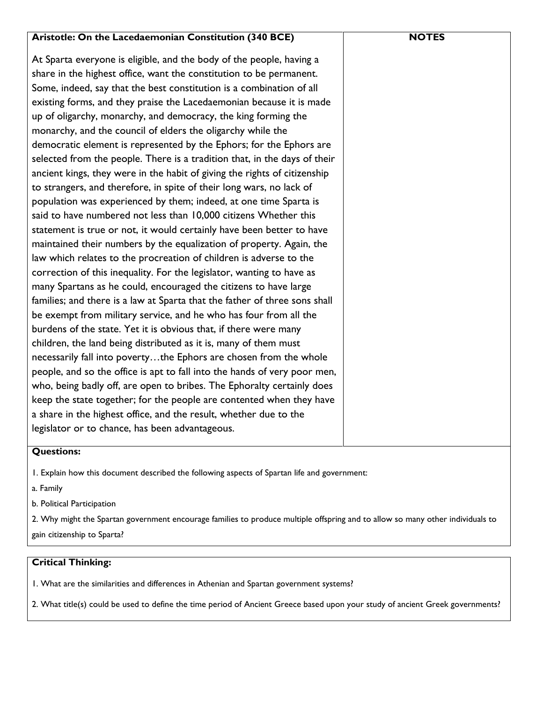| Aristotle: On the Lacedaemonian Constitution (340 BCE)                     | <b>NOTES</b> |
|----------------------------------------------------------------------------|--------------|
| At Sparta everyone is eligible, and the body of the people, having a       |              |
| share in the highest office, want the constitution to be permanent.        |              |
| Some, indeed, say that the best constitution is a combination of all       |              |
| existing forms, and they praise the Lacedaemonian because it is made       |              |
| up of oligarchy, monarchy, and democracy, the king forming the             |              |
| monarchy, and the council of elders the oligarchy while the                |              |
| democratic element is represented by the Ephors; for the Ephors are        |              |
| selected from the people. There is a tradition that, in the days of their  |              |
| ancient kings, they were in the habit of giving the rights of citizenship  |              |
| to strangers, and therefore, in spite of their long wars, no lack of       |              |
| population was experienced by them; indeed, at one time Sparta is          |              |
| said to have numbered not less than 10,000 citizens Whether this           |              |
| statement is true or not, it would certainly have been better to have      |              |
| maintained their numbers by the equalization of property. Again, the       |              |
| law which relates to the procreation of children is adverse to the         |              |
| correction of this inequality. For the legislator, wanting to have as      |              |
| many Spartans as he could, encouraged the citizens to have large           |              |
| families; and there is a law at Sparta that the father of three sons shall |              |
| be exempt from military service, and he who has four from all the          |              |
| burdens of the state. Yet it is obvious that, if there were many           |              |
| children, the land being distributed as it is, many of them must           |              |
| necessarily fall into povertythe Ephors are chosen from the whole          |              |
| people, and so the office is apt to fall into the hands of very poor men,  |              |
| who, being badly off, are open to bribes. The Ephoralty certainly does     |              |
| keep the state together; for the people are contented when they have       |              |
| a share in the highest office, and the result, whether due to the          |              |
| legislator or to chance, has been advantageous.                            |              |

## **Questions:**

1. Explain how this document described the following aspects of Spartan life and government:

a. Family

b. Political Participation

2. Why might the Spartan government encourage families to produce multiple offspring and to allow so many other individuals to gain citizenship to Sparta?

## **Critical Thinking:**

1. What are the similarities and differences in Athenian and Spartan government systems?

2. What title(s) could be used to define the time period of Ancient Greece based upon your study of ancient Greek governments?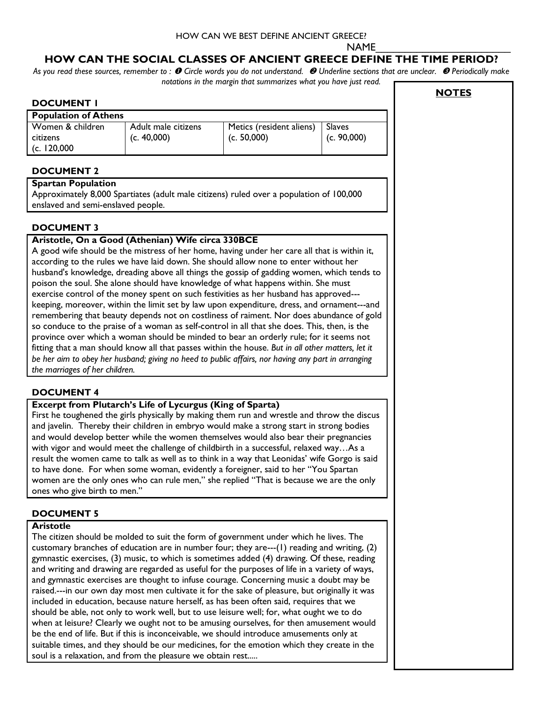### HOW CAN WE BEST DEFINE ANCIENT GREECE?

NAME\_\_\_\_\_\_\_\_\_\_\_\_\_\_\_\_\_\_\_\_\_\_\_

## **HOW CAN THE SOCIAL CLASSES OF ANCIENT GREECE DEFINE THE TIME PERIOD?**

*As you read these sources, remember to : Circle words you do not understand. Underline sections that are unclear. Periodically make notations in the margin that summarizes what you have just read.*   $\Gamma$ ٦

|                                                                                            |                     |                                                                                                                                                                                             |               | <b>NOTES</b> |
|--------------------------------------------------------------------------------------------|---------------------|---------------------------------------------------------------------------------------------------------------------------------------------------------------------------------------------|---------------|--------------|
| <b>DOCUMENT I</b>                                                                          |                     |                                                                                                                                                                                             |               |              |
| <b>Population of Athens</b><br>Women & children                                            | Adult male citizens |                                                                                                                                                                                             | <b>Slaves</b> |              |
| citizens                                                                                   | (c. 40,000)         | Metics (resident aliens)<br>(c. 50,000)                                                                                                                                                     | (c. 90,000)   |              |
| (c. 120,000)                                                                               |                     |                                                                                                                                                                                             |               |              |
|                                                                                            |                     |                                                                                                                                                                                             |               |              |
| <b>DOCUMENT 2</b>                                                                          |                     |                                                                                                                                                                                             |               |              |
| <b>Spartan Population</b>                                                                  |                     |                                                                                                                                                                                             |               |              |
|                                                                                            |                     | Approximately 8,000 Spartiates (adult male citizens) ruled over a population of 100,000                                                                                                     |               |              |
| enslaved and semi-enslaved people.                                                         |                     |                                                                                                                                                                                             |               |              |
| <b>DOCUMENT 3</b>                                                                          |                     |                                                                                                                                                                                             |               |              |
| Aristotle, On a Good (Athenian) Wife circa 330BCE                                          |                     |                                                                                                                                                                                             |               |              |
|                                                                                            |                     | A good wife should be the mistress of her home, having under her care all that is within it,                                                                                                |               |              |
|                                                                                            |                     | according to the rules we have laid down. She should allow none to enter without her                                                                                                        |               |              |
|                                                                                            |                     | husband's knowledge, dreading above all things the gossip of gadding women, which tends to                                                                                                  |               |              |
|                                                                                            |                     | poison the soul. She alone should have knowledge of what happens within. She must                                                                                                           |               |              |
|                                                                                            |                     | exercise control of the money spent on such festivities as her husband has approved---                                                                                                      |               |              |
|                                                                                            |                     | keeping, moreover, within the limit set by law upon expenditure, dress, and ornament---and                                                                                                  |               |              |
|                                                                                            |                     | remembering that beauty depends not on costliness of raiment. Nor does abundance of gold                                                                                                    |               |              |
|                                                                                            |                     | so conduce to the praise of a woman as self-control in all that she does. This, then, is the                                                                                                |               |              |
|                                                                                            |                     | province over which a woman should be minded to bear an orderly rule; for it seems not<br>fitting that a man should know all that passes within the house. But in all other matters, let it |               |              |
|                                                                                            |                     | be her aim to obey her husband; giving no heed to public affairs, nor having any part in arranging                                                                                          |               |              |
| the marriages of her children.                                                             |                     |                                                                                                                                                                                             |               |              |
|                                                                                            |                     |                                                                                                                                                                                             |               |              |
| <b>DOCUMENT 4</b>                                                                          |                     |                                                                                                                                                                                             |               |              |
| <b>Excerpt from Plutarch's Life of Lycurgus (King of Sparta)</b>                           |                     |                                                                                                                                                                                             |               |              |
|                                                                                            |                     | First he toughened the girls physically by making them run and wrestle and throw the discus                                                                                                 |               |              |
|                                                                                            |                     | and javelin. Thereby their children in embryo would make a strong start in strong bodies                                                                                                    |               |              |
|                                                                                            |                     | and would develop better while the women themselves would also bear their pregnancies                                                                                                       |               |              |
|                                                                                            |                     | with vigor and would meet the challenge of childbirth in a successful, relaxed wayAs a                                                                                                      |               |              |
|                                                                                            |                     | result the women came to talk as well as to think in a way that Leonidas' wife Gorgo is said                                                                                                |               |              |
|                                                                                            |                     | to have done. For when some woman, evidently a foreigner, said to her "You Spartan                                                                                                          |               |              |
| ones who give birth to men."                                                               |                     | women are the only ones who can rule men," she replied "That is because we are the only                                                                                                     |               |              |
|                                                                                            |                     |                                                                                                                                                                                             |               |              |
| <b>DOCUMENT 5</b>                                                                          |                     |                                                                                                                                                                                             |               |              |
| <b>Aristotle</b>                                                                           |                     |                                                                                                                                                                                             |               |              |
|                                                                                            |                     | The citizen should be molded to suit the form of government under which he lives. The                                                                                                       |               |              |
|                                                                                            |                     | customary branches of education are in number four; they are---(1) reading and writing, (2)                                                                                                 |               |              |
|                                                                                            |                     | gymnastic exercises, (3) music, to which is sometimes added (4) drawing. Of these, reading                                                                                                  |               |              |
|                                                                                            |                     | and writing and drawing are regarded as useful for the purposes of life in a variety of ways,                                                                                               |               |              |
|                                                                                            |                     | and gymnastic exercises are thought to infuse courage. Concerning music a doubt may be<br>raised.---in our own day most men cultivate it for the sake of pleasure, but originally it was    |               |              |
|                                                                                            |                     | included in education, because nature herself, as has been often said, requires that we                                                                                                     |               |              |
|                                                                                            |                     | should be able, not only to work well, but to use leisure well; for, what ought we to do                                                                                                    |               |              |
|                                                                                            |                     | when at leisure? Clearly we ought not to be amusing ourselves, for then amusement would                                                                                                     |               |              |
|                                                                                            |                     | be the end of life. But if this is inconceivable, we should introduce amusements only at                                                                                                    |               |              |
| suitable times, and they should be our medicines, for the emotion which they create in the |                     |                                                                                                                                                                                             |               |              |
| soul is a relaxation, and from the pleasure we obtain rest                                 |                     |                                                                                                                                                                                             |               |              |
|                                                                                            |                     |                                                                                                                                                                                             |               |              |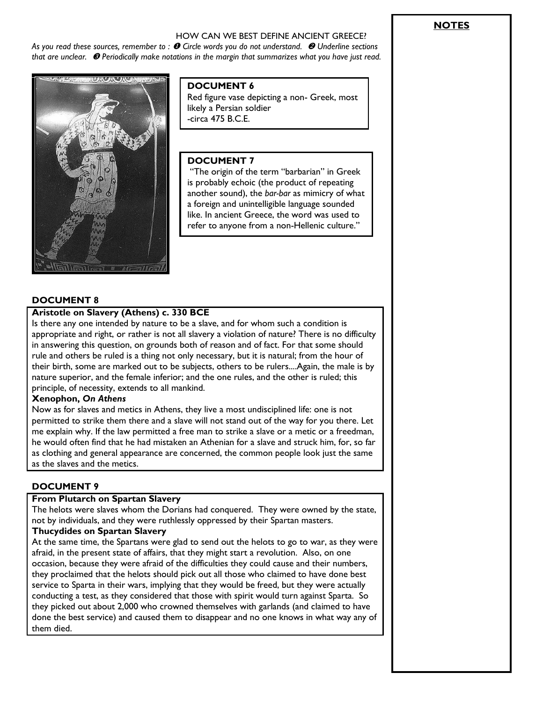### HOW CAN WE BEST DEFINE ANCIENT GREECE?

*As you read these sources, remember to : Circle words you do not understand. Underline sections that are unclear. Periodically make notations in the margin that summarizes what you have just read.* 



## **DOCUMENT 6**

Red figure vase depicting a non- Greek, most likely a Persian soldier -circa 475 B.C.E.

### **DOCUMENT 7**

"The origin of the term "barbarian" in Greek is probably echoic (the product of repeating another sound), the *bar-bar* as mimicry of what a foreign and unintelligible language sounded like. In ancient Greece, the word was used to refer to anyone from a non-Hellenic culture."

### **DOCUMENT 8**

### **Aristotle on Slavery (Athens) c. 330 BCE**

Is there any one intended by nature to be a slave, and for whom such a condition is appropriate and right, or rather is not all slavery a violation of nature? There is no difficulty in answering this question, on grounds both of reason and of fact. For that some should rule and others be ruled is a thing not only necessary, but it is natural; from the hour of their birth, some are marked out to be subjects, others to be rulers....Again, the male is by nature superior, and the female inferior; and the one rules, and the other is ruled; this principle, of necessity, extends to all mankind.

### **Xenophon,** *On Athens*

Now as for slaves and metics in Athens, they live a most undisciplined life: one is not permitted to strike them there and a slave will not stand out of the way for you there. Let me explain why. If the law permitted a free man to strike a slave or a metic or a freedman, he would often find that he had mistaken an Athenian for a slave and struck him, for, so far as clothing and general appearance are concerned, the common people look just the same as the slaves and the metics.

### **DOCUMENT 9**

### **From Plutarch on Spartan Slavery**

The helots were slaves whom the Dorians had conquered. They were owned by the state, not by individuals, and they were ruthlessly oppressed by their Spartan masters.

### **Thucydides on Spartan Slavery**

At the same time, the Spartans were glad to send out the helots to go to war, as they were afraid, in the present state of affairs, that they might start a revolution. Also, on one occasion, because they were afraid of the difficulties they could cause and their numbers, they proclaimed that the helots should pick out all those who claimed to have done best service to Sparta in their wars, implying that they would be freed, but they were actually conducting a test, as they considered that those with spirit would turn against Sparta. So they picked out about 2,000 who crowned themselves with garlands (and claimed to have done the best service) and caused them to disappear and no one knows in what way any of them died.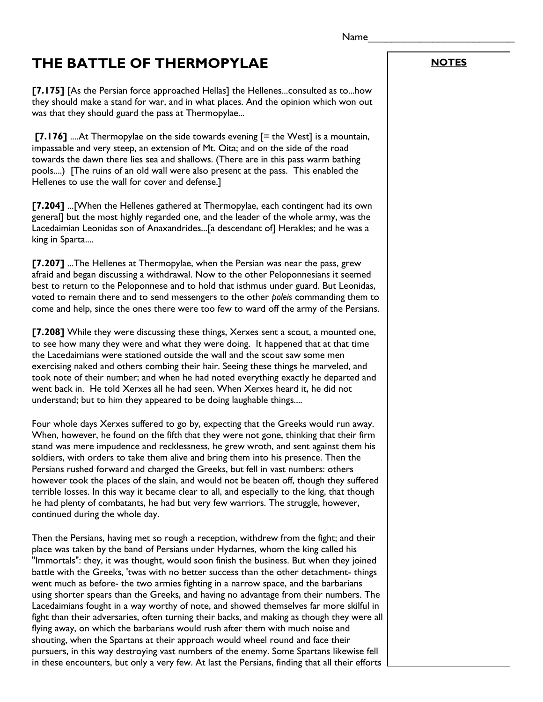# **THE BATTLE OF THERMOPYLAE**

**[7.175]** [As the Persian force approached Hellas] the Hellenes...consulted as to...how they should make a stand for war, and in what places. And the opinion which won out was that they should guard the pass at Thermopylae...

**[7.176]** ....At Thermopylae on the side towards evening [= the West] is a mountain, impassable and very steep, an extension of Mt. Oita; and on the side of the road towards the dawn there lies sea and shallows. (There are in this pass warm bathing pools....) [The ruins of an old wall were also present at the pass. This enabled the Hellenes to use the wall for cover and defense.]

**[7.204]** ...[When the Hellenes gathered at Thermopylae, each contingent had its own general] but the most highly regarded one, and the leader of the whole army, was the Lacedaimian Leonidas son of Anaxandrides...[a descendant of] Herakles; and he was a king in Sparta....

**[7.207]** ...The Hellenes at Thermopylae, when the Persian was near the pass, grew afraid and began discussing a withdrawal. Now to the other Peloponnesians it seemed best to return to the Peloponnese and to hold that isthmus under guard. But Leonidas, voted to remain there and to send messengers to the other *poleis* commanding them to come and help, since the ones there were too few to ward off the army of the Persians.

**[7.208]** While they were discussing these things, Xerxes sent a scout, a mounted one, to see how many they were and what they were doing. It happened that at that time the Lacedaimians were stationed outside the wall and the scout saw some men exercising naked and others combing their hair. Seeing these things he marveled, and took note of their number; and when he had noted everything exactly he departed and went back in. He told Xerxes all he had seen. When Xerxes heard it, he did not understand; but to him they appeared to be doing laughable things....

Four whole days Xerxes suffered to go by, expecting that the Greeks would run away. When, however, he found on the fifth that they were not gone, thinking that their firm stand was mere impudence and recklessness, he grew wroth, and sent against them his soldiers, with orders to take them alive and bring them into his presence. Then the Persians rushed forward and charged the Greeks, but fell in vast numbers: others however took the places of the slain, and would not be beaten off, though they suffered terrible losses. In this way it became clear to all, and especially to the king, that though he had plenty of combatants, he had but very few warriors. The struggle, however, continued during the whole day.

Then the Persians, having met so rough a reception, withdrew from the fight; and their place was taken by the band of Persians under Hydarnes, whom the king called his "Immortals": they, it was thought, would soon finish the business. But when they joined battle with the Greeks, 'twas with no better success than the other detachment- things went much as before- the two armies fighting in a narrow space, and the barbarians using shorter spears than the Greeks, and having no advantage from their numbers. The Lacedaimians fought in a way worthy of note, and showed themselves far more skilful in fight than their adversaries, often turning their backs, and making as though they were all flying away, on which the barbarians would rush after them with much noise and shouting, when the Spartans at their approach would wheel round and face their pursuers, in this way destroying vast numbers of the enemy. Some Spartans likewise fell in these encounters, but only a very few. At last the Persians, finding that all their efforts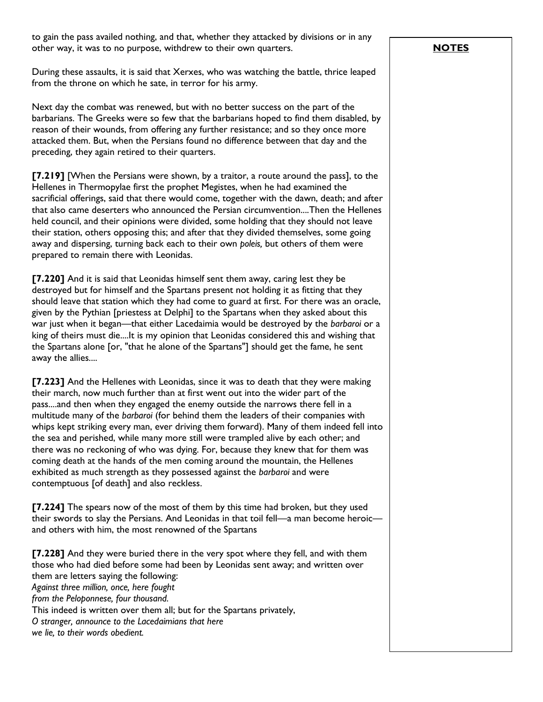to gain the pass availed nothing, and that, whether they attacked by divisions or in any other way, it was to no purpose, withdrew to their own quarters.

During these assaults, it is said that Xerxes, who was watching the battle, thrice leaped from the throne on which he sate, in terror for his army.

Next day the combat was renewed, but with no better success on the part of the barbarians. The Greeks were so few that the barbarians hoped to find them disabled, by reason of their wounds, from offering any further resistance; and so they once more attacked them. But, when the Persians found no difference between that day and the preceding, they again retired to their quarters.

**[7.219]** [When the Persians were shown, by a traitor, a route around the pass], to the Hellenes in Thermopylae first the prophet Megistes, when he had examined the sacrificial offerings, said that there would come, together with the dawn, death; and after that also came deserters who announced the Persian circumvention....Then the Hellenes held council, and their opinions were divided, some holding that they should not leave their station, others opposing this; and after that they divided themselves, some going away and dispersing, turning back each to their own *poleis,* but others of them were prepared to remain there with Leonidas.

**[7.220]** And it is said that Leonidas himself sent them away, caring lest they be destroyed but for himself and the Spartans present not holding it as fitting that they should leave that station which they had come to guard at first. For there was an oracle, given by the Pythian [priestess at Delphi] to the Spartans when they asked about this war just when it began—that either Lacedaimia would be destroyed by the *barbaroi* or a king of theirs must die....It is my opinion that Leonidas considered this and wishing that the Spartans alone [or, "that he alone of the Spartans"] should get the fame, he sent away the allies....

**[7.223]** And the Hellenes with Leonidas, since it was to death that they were making their march, now much further than at first went out into the wider part of the pass....and then when they engaged the enemy outside the narrows there fell in a multitude many of the *barbaroi* (for behind them the leaders of their companies with whips kept striking every man, ever driving them forward). Many of them indeed fell into the sea and perished, while many more still were trampled alive by each other; and there was no reckoning of who was dying. For, because they knew that for them was coming death at the hands of the men coming around the mountain, the Hellenes exhibited as much strength as they possessed against the *barbaroi* and were contemptuous [of death] and also reckless.

**[7.224]** The spears now of the most of them by this time had broken, but they used their swords to slay the Persians. And Leonidas in that toil fell—a man become heroic and others with him, the most renowned of the Spartans

**[7.228]** And they were buried there in the very spot where they fell, and with them those who had died before some had been by Leonidas sent away; and written over them are letters saying the following: *Against three million, once, here fought from the Peloponnese, four thousand.* This indeed is written over them all; but for the Spartans privately, *O stranger, announce to the Lacedaimians that here we lie, to their words obedient.*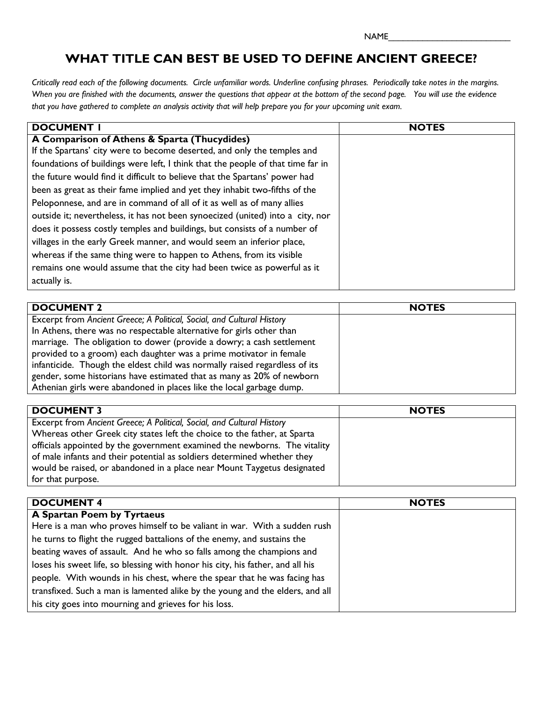NAME\_\_\_\_\_\_\_\_\_\_\_\_\_\_\_\_\_\_\_\_\_\_\_\_\_

## **WHAT TITLE CAN BEST BE USED TO DEFINE ANCIENT GREECE?**

*Critically read each of the following documents. Circle unfamiliar words. Underline confusing phrases. Periodically take notes in the margins. When you are finished with the documents, answer the questions that appear at the bottom of the second page. You will use the evidence that you have gathered to complete an analysis activity that will help prepare you for your upcoming unit exam.*

| <b>DOCUMENT</b>                                                                 | <b>NOTES</b> |
|---------------------------------------------------------------------------------|--------------|
| A Comparison of Athens & Sparta (Thucydides)                                    |              |
| If the Spartans' city were to become deserted, and only the temples and         |              |
| foundations of buildings were left, I think that the people of that time far in |              |
| the future would find it difficult to believe that the Spartans' power had      |              |
| been as great as their fame implied and yet they inhabit two-fifths of the      |              |
| Peloponnese, and are in command of all of it as well as of many allies          |              |
| outside it; nevertheless, it has not been synoecized (united) into a city, nor  |              |
| does it possess costly temples and buildings, but consists of a number of       |              |
| villages in the early Greek manner, and would seem an inferior place,           |              |
| whereas if the same thing were to happen to Athens, from its visible            |              |
| remains one would assume that the city had been twice as powerful as it         |              |
| actually is.                                                                    |              |

| <b>DOCUMENT 2</b>                                                          | <b>NOTES</b> |
|----------------------------------------------------------------------------|--------------|
| Excerpt from Ancient Greece; A Political, Social, and Cultural History     |              |
| In Athens, there was no respectable alternative for girls other than       |              |
| marriage. The obligation to dower (provide a dowry; a cash settlement      |              |
| provided to a groom) each daughter was a prime motivator in female         |              |
| infanticide. Though the eldest child was normally raised regardless of its |              |
| gender, some historians have estimated that as many as 20% of newborn      |              |
| Athenian girls were abandoned in places like the local garbage dump.       |              |

| <b>DOCUMENT 3</b>                                                         | <b>NOTES</b> |
|---------------------------------------------------------------------------|--------------|
|                                                                           |              |
| Excerpt from Ancient Greece; A Political, Social, and Cultural History    |              |
| Whereas other Greek city states left the choice to the father, at Sparta  |              |
| officials appointed by the government examined the newborns. The vitality |              |
| of male infants and their potential as soldiers determined whether they   |              |
| would be raised, or abandoned in a place near Mount Taygetus designated   |              |
| for that purpose.                                                         |              |

| <b>DOCUMENT 4</b>                                                              | <b>NOTES</b> |
|--------------------------------------------------------------------------------|--------------|
|                                                                                |              |
| A Spartan Poem by Tyrtaeus                                                     |              |
| Here is a man who proves himself to be valiant in war. With a sudden rush      |              |
| he turns to flight the rugged battalions of the enemy, and sustains the        |              |
| beating waves of assault. And he who so falls among the champions and          |              |
| loses his sweet life, so blessing with honor his city, his father, and all his |              |
| people. With wounds in his chest, where the spear that he was facing has       |              |
| transfixed. Such a man is lamented alike by the young and the elders, and all  |              |
| his city goes into mourning and grieves for his loss.                          |              |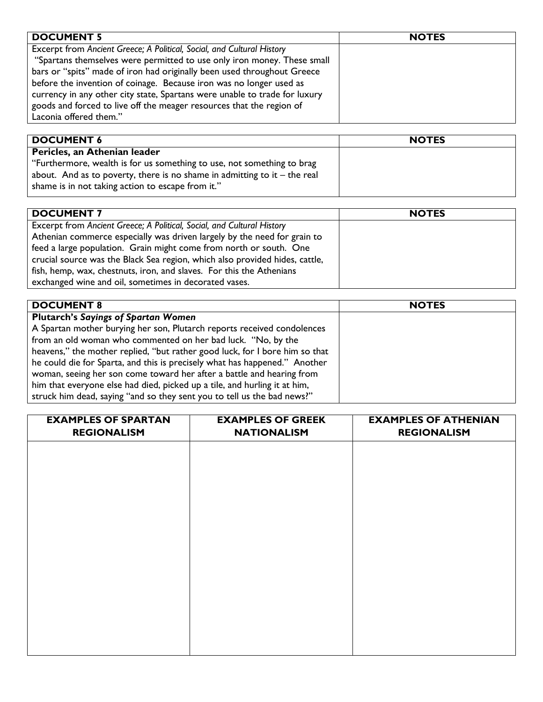| <b>DOCUMENT 5</b>                                                          | <b>NOTES</b> |
|----------------------------------------------------------------------------|--------------|
| Excerpt from Ancient Greece; A Political, Social, and Cultural History     |              |
| "Spartans themselves were permitted to use only iron money. These small    |              |
| bars or "spits" made of iron had originally been used throughout Greece    |              |
| before the invention of coinage. Because iron was no longer used as        |              |
| currency in any other city state, Spartans were unable to trade for luxury |              |
| goods and forced to live off the meager resources that the region of       |              |
| Laconia offered them."                                                     |              |

| <b>DOCUMENT 6</b>                                                           | <b>NOTES</b> |
|-----------------------------------------------------------------------------|--------------|
| Pericles, an Athenian leader                                                |              |
| "Furthermore, wealth is for us something to use, not something to brag      |              |
| about. And as to poverty, there is no shame in admitting to it $-$ the real |              |
| shame is in not taking action to escape from it."                           |              |
|                                                                             |              |

| <b>DOCUMENT 7</b>                                                           | <b>NOTES</b> |
|-----------------------------------------------------------------------------|--------------|
| Excerpt from Ancient Greece; A Political, Social, and Cultural History      |              |
| Athenian commerce especially was driven largely by the need for grain to    |              |
| feed a large population. Grain might come from north or south. One          |              |
| crucial source was the Black Sea region, which also provided hides, cattle, |              |
| fish, hemp, wax, chestnuts, iron, and slaves. For this the Athenians        |              |
| exchanged wine and oil, sometimes in decorated vases.                       |              |

| <b>DOCUMENT 8</b>                                                           | <b>NOTES</b> |
|-----------------------------------------------------------------------------|--------------|
| <b>Plutarch's Sayings of Spartan Women</b>                                  |              |
| A Spartan mother burying her son, Plutarch reports received condolences     |              |
| from an old woman who commented on her bad luck. "No, by the                |              |
| heavens," the mother replied, "but rather good luck, for I bore him so that |              |
| he could die for Sparta, and this is precisely what has happened." Another  |              |
| woman, seeing her son come toward her after a battle and hearing from       |              |
| him that everyone else had died, picked up a tile, and hurling it at him,   |              |
| struck him dead, saying "and so they sent you to tell us the bad news?"     |              |

| <b>EXAMPLES OF SPARTAN</b> | <b>EXAMPLES OF GREEK</b> | <b>EXAMPLES OF ATHENIAN</b> |
|----------------------------|--------------------------|-----------------------------|
| <b>REGIONALISM</b>         | <b>NATIONALISM</b>       | <b>REGIONALISM</b>          |
|                            |                          |                             |
|                            |                          |                             |
|                            |                          |                             |
|                            |                          |                             |
|                            |                          |                             |
|                            |                          |                             |
|                            |                          |                             |
|                            |                          |                             |
|                            |                          |                             |
|                            |                          |                             |
|                            |                          |                             |
|                            |                          |                             |
|                            |                          |                             |
|                            |                          |                             |
|                            |                          |                             |
|                            |                          |                             |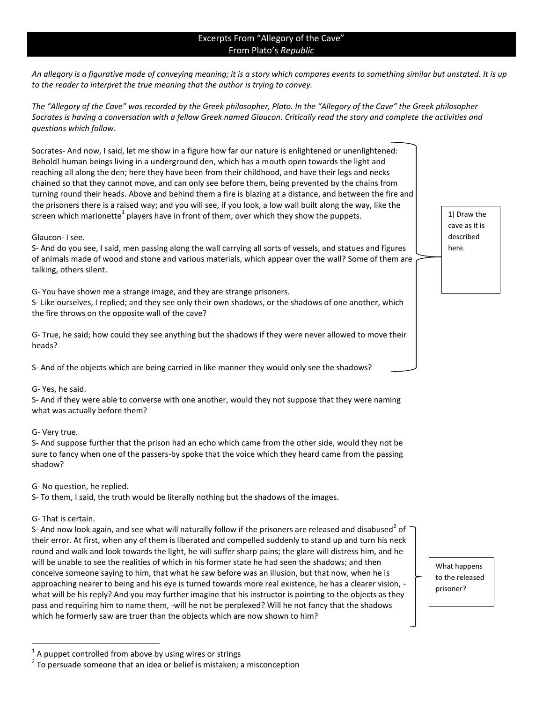### Excerpts From "Allegory of the Cave" From Plato's *Republic*

*An allegory is a figurative mode of conveying meaning; it is a story which compares events to something similar but unstated. It is up*  to the reader to interpret the true meaning that the author *is trying to convey*.

*The "Allegory of the Cave" was recorded by the Greek philosopher, Plato. In the "Allegory of the Cave" the Greek philosopher Socrates is having a conversation with a fellow Greek named Glaucon. Critically read the story and complete the activities and questions which follow.*

Socrates- And now, I said, let me show in a figure how far our nature is enlightened or unenlightened: Behold! human beings living in a underground den, which has a mouth open towards the light and reaching all along the den; here they have been from their childhood, and have their legs and necks chained so that they cannot move, and can only see before them, being prevented by the chains from turning round their heads. Above and behind them a fire is blazing at a distance, and between the fire and the prisoners there is a raised way; and you will see, if you look, a low wall built along the way, like the screen which marionette<sup>1</sup> players have in front of them, over which they show the puppets.

Glaucon- I see.

S- And do you see, I said, men passing along the wall carrying all sorts of vessels, and statues and figures of animals made of wood and stone and various materials, which appear over the wall? Some of them are talking, others silent.

G- You have shown me a strange image, and they are strange prisoners.

S- Like ourselves, I replied; and they see only their own shadows, or the shadows of one another, which the fire throws on the opposite wall of the cave?

G- True, he said; how could they see anything but the shadows if they were never allowed to move their heads?

S- And of the objects which are being carried in like manner they would only see the shadows?

### G- Yes, he said.

S- And if they were able to converse with one another, would they not suppose that they were naming what was actually before them?

### G- Very true.

S- And suppose further that the prison had an echo which came from the other side, would they not be sure to fancy when one of the passers-by spoke that the voice which they heard came from the passing shadow?

G- No question, he replied.

S- To them, I said, the truth would be literally nothing but the shadows of the images.

### G- That is certain.

l

S- And now look again, and see what will naturally follow if the prisoners are released and disabused<sup>2</sup> of their error. At first, when any of them is liberated and compelled suddenly to stand up and turn his neck round and walk and look towards the light, he will suffer sharp pains; the glare will distress him, and he will be unable to see the realities of which in his former state he had seen the shadows; and then conceive someone saying to him, that what he saw before was an illusion, but that now, when he is approaching nearer to being and his eye is turned towards more real existence, he has a clearer vision, what will be his reply? And you may further imagine that his instructor is pointing to the objects as they pass and requiring him to name them, -will he not be perplexed? Will he not fancy that the shadows which he formerly saw are truer than the objects which are now shown to him?

1) Draw the cave as it is described here.

What happens to the released prisoner?

 $^1$  A puppet controlled from above by using wires or strings

 $2$  To persuade someone that an idea or belief is mistaken; a misconception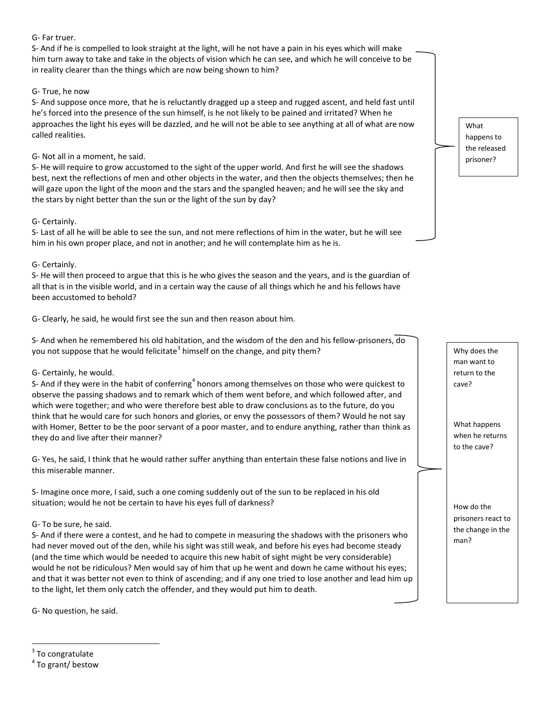### G- Far truer.

S- And if he is compelled to look straight at the light, will he not have a pain in his eyes which will make him turn away to take and take in the objects of vision which he can see, and which he will conceive to be in reality clearer than the things which are now being shown to him?

### G- True, he now

S- And suppose once more, that he is reluctantly dragged up a steep and rugged ascent, and held fast until he's forced into the presence of the sun himself, is he not likely to be pained and irritated? When he approaches the light his eyes will be dazzled, and he will not be able to see anything at all of what are now called realities.

### G- Not all in a moment, he said.

S- He will require to grow accustomed to the sight of the upper world. And first he will see the shadows best, next the reflections of men and other objects in the water, and then the objects themselves; then he will gaze upon the light of the moon and the stars and the spangled heaven; and he will see the sky and the stars by night better than the sun or the light of the sun by day?

### G- Certainly.

S- Last of all he will be able to see the sun, and not mere reflections of him in the water, but he will see him in his own proper place, and not in another; and he will contemplate him as he is.

### G- Certainly.

S- He will then proceed to argue that this is he who gives the season and the years, and is the guardian of all that is in the visible world, and in a certain way the cause of all things which he and his fellows have been accustomed to behold?

G- Clearly, he said, he would first see the sun and then reason about him.

S- And when he remembered his old habitation, and the wisdom of the den and his fellow-prisoners, do you not suppose that he would felicitate<sup>3</sup> himself on the change, and pity them?

### G- Certainly, he would.

S- And if they were in the habit of conferring<sup>4</sup> honors among themselves on those who were quickest to observe the passing shadows and to remark which of them went before, and which followed after, and which were together; and who were therefore best able to draw conclusions as to the future, do you think that he would care for such honors and glories, or envy the possessors of them? Would he not say with Homer, Better to be the poor servant of a poor master, and to endure anything, rather than think as they do and live after their manner?

G- Yes, he said, I think that he would rather suffer anything than entertain these false notions and live in this miserable manner.

S- Imagine once more, I said, such a one coming suddenly out of the sun to be replaced in his old situation; would he not be certain to have his eyes full of darkness?

### G- To be sure, he said.

S- And if there were a contest, and he had to compete in measuring the shadows with the prisoners who had never moved out of the den, while his sight was still weak, and before his eyes had become steady (and the time which would be needed to acquire this new habit of sight might be very considerable) would he not be ridiculous? Men would say of him that up he went and down he came without his eyes; and that it was better not even to think of ascending; and if any one tried to lose another and lead him up to the light, let them only catch the offender, and they would put him to death.

G- No question, he said.

l

What happens to the released prisoner?

Why does the man want to return to the cave?

What happens when he returns to the cave?

How do the prisoners react to the change in the

man?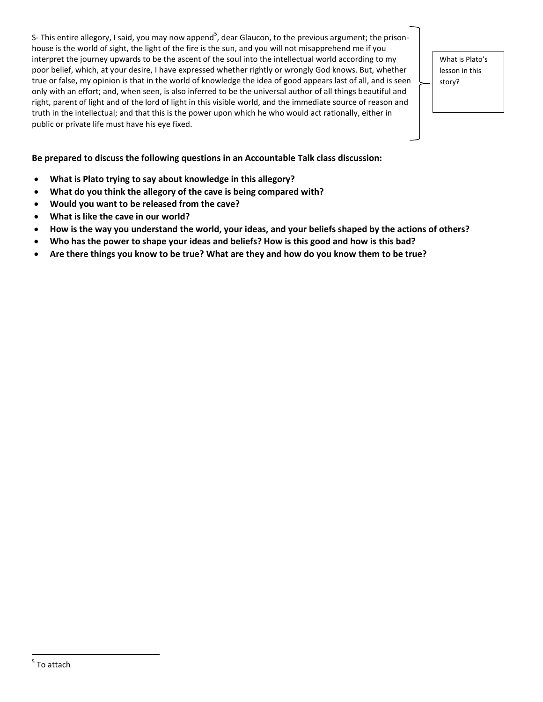S- This entire allegory, I said, you may now append<sup>5</sup>, dear Glaucon, to the previous argument; the prisonhouse is the world of sight, the light of the fire is the sun, and you will not misapprehend me if you interpret the journey upwards to be the ascent of the soul into the intellectual world according to my poor belief, which, at your desire, I have expressed whether rightly or wrongly God knows. But, whether true or false, my opinion is that in the world of knowledge the idea of good appears last of all, and is seen only with an effort; and, when seen, is also inferred to be the universal author of all things beautiful and right, parent of light and of the lord of light in this visible world, and the immediate source of reason and truth in the intellectual; and that this is the power upon which he who would act rationally, either in public or private life must have his eye fixed.

What is Plato's lesson in this story?

### **Be prepared to discuss the following questions in an Accountable Talk class discussion:**

- **What is Plato trying to say about knowledge in this allegory?**
- **What do you think the allegory of the cave is being compared with?**
- **Would you want to be released from the cave?**
- **What is like the cave in our world?**
- **How is the way you understand the world, your ideas, and your beliefs shaped by the actions of others?**
- **Who has the power to shape your ideas and beliefs? How is this good and how is this bad?**
- **Are there things you know to be true? What are they and how do you know them to be true?**

 $\overline{\phantom{a}}$ 

 $^5$  To attach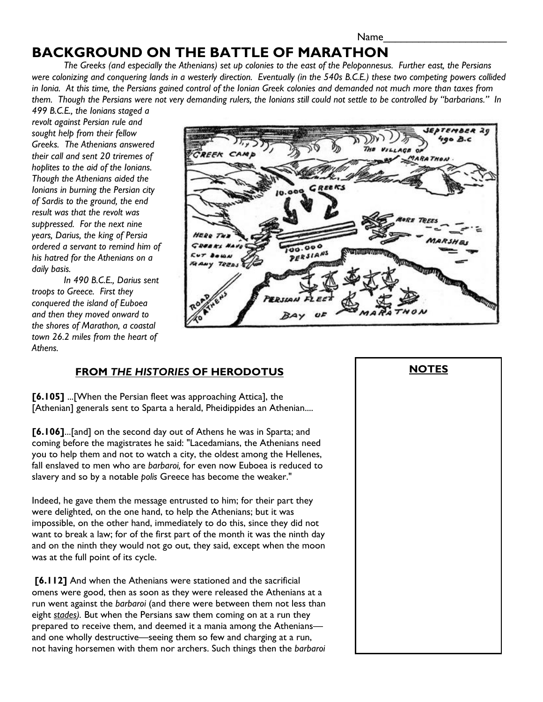# **BACKGROUND ON THE BATTLE OF MARATHON**

*The Greeks (and especially the Athenians) set up colonies to the east of the Peloponnesus. Further east, the Persians were colonizing and conquering lands in a westerly direction. Eventually (in the 540s B.C.E.) these two competing powers collided in Ionia. At this time, the Persians gained control of the Ionian Greek colonies and demanded not much more than taxes from them. Though the Persians were not very demanding rulers, the Ionians still could not settle to be controlled by "barbarians." In* 

*499 B.C.E., the Ionians staged a revolt against Persian rule and sought help from their fellow Greeks. The Athenians answered their call and sent 20 triremes of hoplites to the aid of the Ionians. Though the Athenians aided the Ionians in burning the Persian city of Sardis to the ground, the end result was that the revolt was suppressed. For the next nine years, Darius, the king of Persia ordered a servant to remind him of his hatred for the Athenians on a daily basis.* 

 *In 490 B.C.E., Darius sent troops to Greece. First they conquered the island of Euboea and then they moved onward to the shores of Marathon, a coastal town 26.2 miles from the heart of Athens.*



## **FROM** *THE HISTORIES* **OF HERODOTUS**

**[6.105]** ...[When the Persian fleet was approaching Attica], the [Athenian] generals sent to Sparta a herald, Pheidippides an Athenian....

**[6.106]**...[and] on the second day out of Athens he was in Sparta; and coming before the magistrates he said: "Lacedamians, the Athenians need you to help them and not to watch a city, the oldest among the Hellenes, fall enslaved to men who are *barbaroi,* for even now Euboea is reduced to slavery and so by a notable *polis* Greece has become the weaker."

Indeed, he gave them the message entrusted to him; for their part they were delighted, on the one hand, to help the Athenians; but it was impossible, on the other hand, immediately to do this, since they did not want to break a law; for of the first part of the month it was the ninth day and on the ninth they would not go out, they said, except when the moon was at the full point of its cycle.

 **[6.112]** And when the Athenians were stationed and the sacrificial omens were good, then as soon as they were released the Athenians at a run went against the *barbaroi* (and there were between them not less than eight *stades).* But when the Persians saw them coming on at a run they prepared to receive them, and deemed it a mania among the Athenians and one wholly destructive—seeing them so few and charging at a run, not having horsemen with them nor archers. Such things then the *barbaroi*